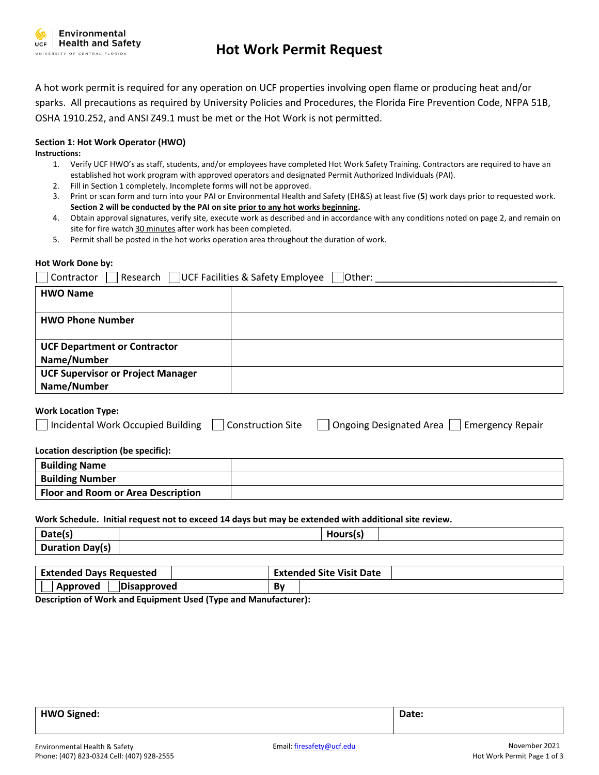

# **Hot Work Permit Request**

A hot work permit is required for any operation on UCF properties involving open flame or producing heat and/or sparks. All precautions as required by University Policies and Procedures, the Florida Fire Prevention Code, NFPA 51B, OSHA 1910.252, and ANSI Z49.1 must be met or the Hot Work is not permitted.

# **Section 1: Hot Work Operator (HWO)**

**Instructions:**

- 1. Verify UCF HWO's as staff, students, and/or employees have completed Hot Work Safety Training. Contractors are required to have an established hot work program with approved operators and designated Permit Authorized Individuals (PAI).
- 2. Fill in Section 1 completely. Incomplete forms will not be approved.
- 3. Print or scan form and turn into your PAI or Environmental Health and Safety (EH&S) at least five (**5**) work days prior to requested work. **Section 2 will be conducted by the PAI on site prior to any hot works beginning.**
- 4. Obtain approval signatures, verify site, execute work as described and in accordance with any conditions noted on page 2, and remain on site for fire watch 30 minutes after work has been completed.
- 5. Permit shall be posted in the hot works operation area throughout the duration of work.

# **Hot Work Done by:**

| Research UCF Facilities & Safety Employee<br>Other:<br>Contractor |  |  |
|-------------------------------------------------------------------|--|--|
| <b>HWO Name</b>                                                   |  |  |
|                                                                   |  |  |
| <b>HWO Phone Number</b>                                           |  |  |
|                                                                   |  |  |
| <b>UCF Department or Contractor</b>                               |  |  |
| Name/Number                                                       |  |  |
| <b>UCF Supervisor or Project Manager</b>                          |  |  |
| Name/Number                                                       |  |  |
|                                                                   |  |  |

# **Work Location Type:**

| Incidental Work Occupied Building   Construction Site |  | Ongoing Designated Area Semergency Repair |  |
|-------------------------------------------------------|--|-------------------------------------------|--|
|-------------------------------------------------------|--|-------------------------------------------|--|

# **Location description (be specific):**

| <b>Building Name</b>                      |  |
|-------------------------------------------|--|
| <b>Building Number</b>                    |  |
| <b>Floor and Room or Area Description</b> |  |

# **Work Schedule. Initial request not to exceed 14 days but may be extended with additional site review.**

| Date(s)                | . |
|------------------------|---|
| <b>Duration Day(s)</b> |   |

| <b>Extended Days Requested</b> | Extended Site Visit Date |
|--------------------------------|--------------------------|
| Disapproved                    | в.                       |
| Approved                       | ьν                       |

**Description of Work and Equipment Used (Type and Manufacturer):**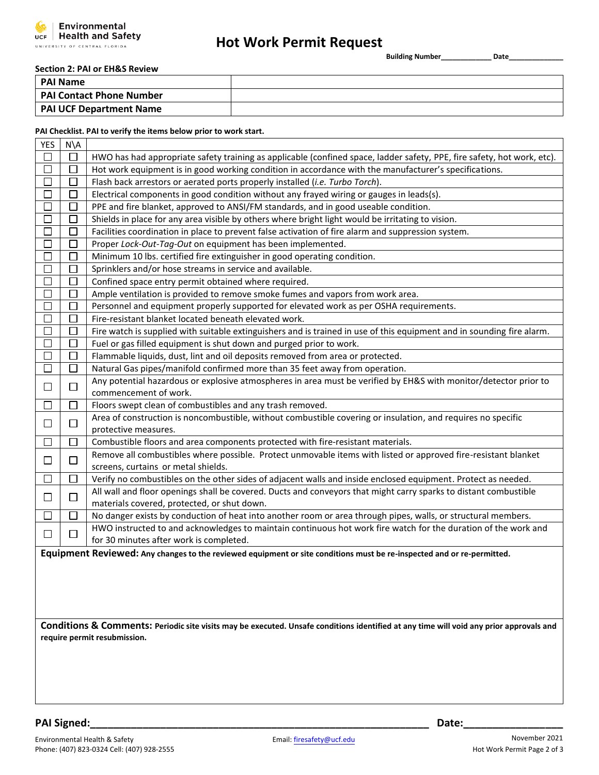

# **Hot Work Permit Request**

**Building Number\_\_\_\_\_\_\_\_\_\_\_\_\_ Date\_\_\_\_\_\_\_\_\_\_\_\_\_\_** 

### **Section 2: PAI or EH&S Review**

| l PAI Name                      |  |
|---------------------------------|--|
| <b>PAI Contact Phone Number</b> |  |
| <b>PAI UCF Department Name</b>  |  |

### **PAI Checklist. PAI to verify the items below prior to work start.**

| <b>YES</b>   | $N\setminus A$ |                                                                                                                                                    |
|--------------|----------------|----------------------------------------------------------------------------------------------------------------------------------------------------|
|              | $\Box$         | HWO has had appropriate safety training as applicable (confined space, ladder safety, PPE, fire safety, hot work, etc).                            |
| $\Box$       | $\Box$         | Hot work equipment is in good working condition in accordance with the manufacturer's specifications.                                              |
|              | П              | Flash back arrestors or aerated ports properly installed (i.e. Turbo Torch).                                                                       |
| $\Box$       | $\Box$         | Electrical components in good condition without any frayed wiring or gauges in leads(s).                                                           |
| $\Box$       | U              | PPE and fire blanket, approved to ANSI/FM standards, and in good useable condition.                                                                |
| $\Box$       | $\Box$         | Shields in place for any area visible by others where bright light would be irritating to vision.                                                  |
| $\Box$       | $\Box$         | Facilities coordination in place to prevent false activation of fire alarm and suppression system.                                                 |
| П            | $\Box$         | Proper Lock-Out-Tag-Out on equipment has been implemented.                                                                                         |
| $\Box$       | $\Box$         | Minimum 10 lbs. certified fire extinguisher in good operating condition.                                                                           |
| $\Box$       | $\Box$         | Sprinklers and/or hose streams in service and available.                                                                                           |
| П            | П              | Confined space entry permit obtained where required.                                                                                               |
| $\Box$       | П              | Ample ventilation is provided to remove smoke fumes and vapors from work area.                                                                     |
| П            | П              | Personnel and equipment properly supported for elevated work as per OSHA requirements.                                                             |
| $\Box$       | $\Box$         | Fire-resistant blanket located beneath elevated work.                                                                                              |
| □            | □              | Fire watch is supplied with suitable extinguishers and is trained in use of this equipment and in sounding fire alarm.                             |
| П            | $\Box$         | Fuel or gas filled equipment is shut down and purged prior to work.                                                                                |
| $\Box$       | $\Box$         | Flammable liquids, dust, lint and oil deposits removed from area or protected.                                                                     |
| $\Box$       | $\Box$         | Natural Gas pipes/manifold confirmed more than 35 feet away from operation.                                                                        |
| $\Box$       | $\Box$         | Any potential hazardous or explosive atmospheres in area must be verified by EH&S with monitor/detector prior to                                   |
|              |                | commencement of work.                                                                                                                              |
| $\Box$       | $\Box$         | Floors swept clean of combustibles and any trash removed.                                                                                          |
| $\Box$       | □              | Area of construction is noncombustible, without combustible covering or insulation, and requires no specific                                       |
|              |                | protective measures.                                                                                                                               |
| $\mathsf{I}$ | □              | Combustible floors and area components protected with fire-resistant materials.                                                                    |
| $\Box$       | $\Box$         | Remove all combustibles where possible. Protect unmovable items with listed or approved fire-resistant blanket                                     |
|              |                | screens, curtains or metal shields.                                                                                                                |
| $\Box$       | $\Box$         | Verify no combustibles on the other sides of adjacent walls and inside enclosed equipment. Protect as needed.                                      |
| ப            | $\Box$         | All wall and floor openings shall be covered. Ducts and conveyors that might carry sparks to distant combustible                                   |
|              |                | materials covered, protected, or shut down.                                                                                                        |
| $\Box$       | $\Box$         | No danger exists by conduction of heat into another room or area through pipes, walls, or structural members.                                      |
| $\Box$       | $\Box$         | HWO instructed to and acknowledges to maintain continuous hot work fire watch for the duration of the work and                                     |
|              |                | for 30 minutes after work is completed.                                                                                                            |
|              |                | Equipment Reviewed: Any changes to the reviewed equipment or site conditions must be re-inspected and or re-permitted.                             |
|              |                |                                                                                                                                                    |
|              |                |                                                                                                                                                    |
|              |                |                                                                                                                                                    |
|              |                |                                                                                                                                                    |
|              |                | <b>Conditions &amp; Comments:</b> Periodic site visits may be executed. Unsafe conditions identified at any time will yoid any prior approvals and |

**Conditions & Comments: Periodic site visits may be executed. Unsafe conditions identified at any time will void any prior approvals and require permit resubmission.**